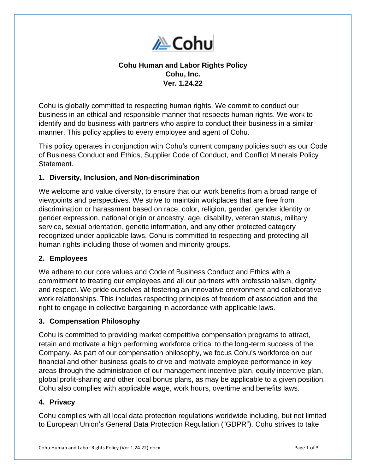

# **Cohu Human and Labor Rights Policy Cohu, Inc. Ver. 1.24.22**

Cohu is globally committed to respecting human rights. We commit to conduct our business in an ethical and responsible manner that respects human rights. We work to identify and do business with partners who aspire to conduct their business in a similar manner. This policy applies to every employee and agent of Cohu.

This policy operates in conjunction with Cohu's current company policies such as our Code of Business Conduct and Ethics, Supplier Code of Conduct, and Conflict Minerals Policy Statement.

### **1. Diversity, Inclusion, and Non-discrimination**

We welcome and value diversity, to ensure that our work benefits from a broad range of viewpoints and perspectives. We strive to maintain workplaces that are free from discrimination or harassment based on race, color, religion, gender, gender identity or gender expression, national origin or ancestry, age, disability, veteran status, military service, sexual orientation, genetic information, and any other protected category recognized under applicable laws. Cohu is committed to respecting and protecting all human rights including those of women and minority groups.

### **2. Employees**

We adhere to our core values and Code of Business Conduct and Ethics with a commitment to treating our employees and all our partners with professionalism, dignity and respect. We pride ourselves at fostering an innovative environment and collaborative work relationships. This includes respecting principles of freedom of association and the right to engage in collective bargaining in accordance with applicable laws.

### **3. Compensation Philosophy**

Cohu is committed to providing market competitive compensation programs to attract, retain and motivate a high performing workforce critical to the long-term success of the Company. As part of our compensation philosophy, we focus Cohu's workforce on our financial and other business goals to drive and motivate employee performance in key areas through the administration of our management incentive plan, equity incentive plan, global profit-sharing and other local bonus plans, as may be applicable to a given position. Cohu also complies with applicable wage, work hours, overtime and benefits laws.

### **4. Privacy**

Cohu complies with all local data protection regulations worldwide including, but not limited to European Union's General Data Protection Regulation ("GDPR"). Cohu strives to take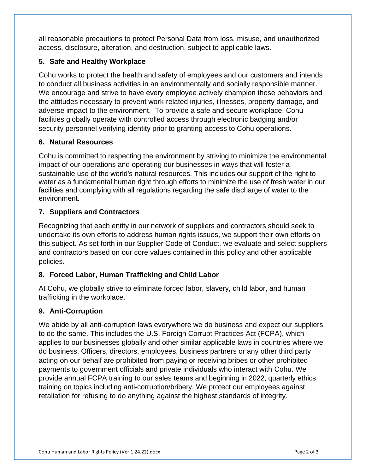all reasonable precautions to protect Personal Data from loss, misuse, and unauthorized access, disclosure, alteration, and destruction, subject to applicable laws.

# **5. Safe and Healthy Workplace**

Cohu works to protect the health and safety of employees and our customers and intends to conduct all business activities in an environmentally and socially responsible manner. We encourage and strive to have every employee actively champion those behaviors and the attitudes necessary to prevent work-related injuries, illnesses, property damage, and adverse impact to the environment. To provide a safe and secure workplace, Cohu facilities globally operate with controlled access through electronic badging and/or security personnel verifying identity prior to granting access to Cohu operations.

## **6. Natural Resources**

Cohu is committed to respecting the environment by striving to minimize the environmental impact of our operations and operating our businesses in ways that will foster a sustainable use of the world's natural resources. This includes our support of the right to water as a fundamental human right through efforts to minimize the use of fresh water in our facilities and complying with all regulations regarding the safe discharge of water to the environment.

# **7. Suppliers and Contractors**

Recognizing that each entity in our network of suppliers and contractors should seek to undertake its own efforts to address human rights issues, we support their own efforts on this subject. As set forth in our Supplier Code of Conduct, we evaluate and select suppliers and contractors based on our core values contained in this policy and other applicable policies.

# **8. Forced Labor, Human Trafficking and Child Labor**

At Cohu, we globally strive to eliminate forced labor, slavery, child labor, and human trafficking in the workplace.

## **9. Anti-Corruption**

We abide by all anti-corruption laws everywhere we do business and expect our suppliers to do the same. This includes the U.S. Foreign Corrupt Practices Act (FCPA), which applies to our businesses globally and other similar applicable laws in countries where we do business. Officers, directors, employees, business partners or any other third party acting on our behalf are prohibited from paying or receiving bribes or other prohibited payments to government officials and private individuals who interact with Cohu. We provide annual FCPA training to our sales teams and beginning in 2022, quarterly ethics training on topics including anti-corruption/bribery. We protect our employees against retaliation for refusing to do anything against the highest standards of integrity.